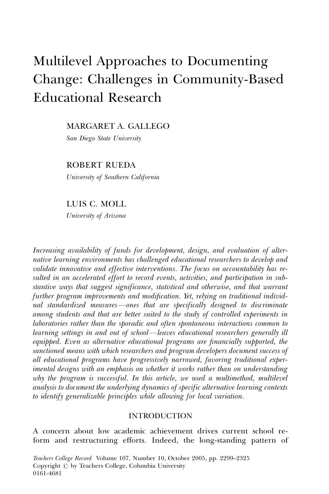# Multilevel Approaches to Documenting Change: Challenges in Community-Based Educational Research

MARGARET A. GALLEGO

San Diego State University

ROBERT RUEDA

University of Southern California

LUIS C. MOLL

University of Arizona

Increasing availability of funds for development, design, and evaluation of alternative learning environments has challenged educational researchers to develop and validate innovative and effective interventions. The focus on accountability has resulted in an accelerated effort to record events, activities, and participation in substantive ways that suggest significance, statistical and otherwise, and that warrant further program improvements and modification. Yet, relying on traditional individual standardized measures—ones that are specifically designed to discriminate among students and that are better suited to the study of controlled experiments in laboratories rather than the sporadic and often spontaneous interactions common to learning settings in and out of school—leaves educational researchers generally ill equipped. Even as alternative educational programs are financially supported, the sanctioned means with which researchers and program developers document success of all educational programs have progressively narrowed, favoring traditional experimental designs with an emphasis on whether it works rather than on understanding why the program is successful. In this article, we used a multimethod, multilevel analysis to document the underlying dynamics of specific alternative learning contexts to identify generalizable principles while allowing for local variation.

## INTRODUCTION

A concern about low academic achievement drives current school reform and restructuring efforts. Indeed, the long-standing pattern of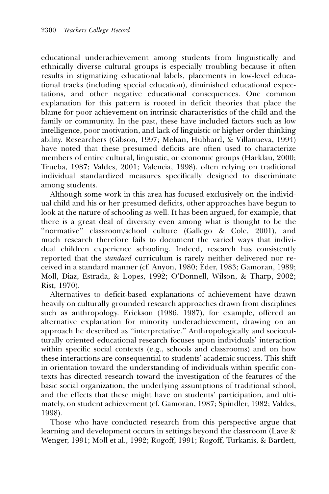educational underachievement among students from linguistically and ethnically diverse cultural groups is especially troubling because it often results in stigmatizing educational labels, placements in low-level educational tracks (including special education), diminished educational expectations, and other negative educational consequences. One common explanation for this pattern is rooted in deficit theories that place the blame for poor achievement on intrinsic characteristics of the child and the family or community. In the past, these have included factors such as low intelligence, poor motivation, and lack of linguistic or higher order thinking ability. Researchers (Gibson, 1997; Mehan, Hubbard, & Villanueva, 1994) have noted that these presumed deficits are often used to characterize members of entire cultural, linguistic, or economic groups (Harklau, 2000; Trueba, 1987; Valdes, 2001; Valencia, 1998), often relying on traditional individual standardized measures specifically designed to discriminate among students.

Although some work in this area has focused exclusively on the individual child and his or her presumed deficits, other approaches have begun to look at the nature of schooling as well. It has been argued, for example, that there is a great deal of diversity even among what is thought to be the "normative" classroom/school culture (Gallego & Cole, 2001), and much research therefore fails to document the varied ways that individual children experience schooling. Indeed, research has consistently reported that the standard curriculum is rarely neither delivered nor received in a standard manner (cf. Anyon, 1980; Eder, 1983; Gamoran, 1989; Moll, Diaz, Estrada, & Lopes, 1992; O'Donnell, Wilson, & Tharp, 2002; Rist, 1970).

Alternatives to deficit-based explanations of achievement have drawn heavily on culturally grounded research approaches drawn from disciplines such as anthropology. Erickson (1986, 1987), for example, offered an alternative explanation for minority underachievement, drawing on an approach he described as ''interpretative.'' Anthropologically and socioculturally oriented educational research focuses upon individuals' interaction within specific social contexts (e.g., schools and classrooms) and on how these interactions are consequential to students' academic success. This shift in orientation toward the understanding of individuals within specific contexts has directed research toward the investigation of the features of the basic social organization, the underlying assumptions of traditional school, and the effects that these might have on students' participation, and ultimately, on student achievement (cf. Gamoran, 1987; Spindler, 1982; Valdes, 1998).

Those who have conducted research from this perspective argue that learning and development occurs in settings beyond the classroom (Lave & Wenger, 1991; Moll et al., 1992; Rogoff, 1991; Rogoff, Turkanis, & Bartlett,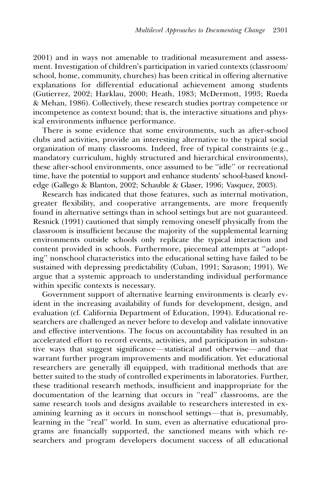2001) and in ways not amenable to traditional measurement and assessment. Investigation of children's participation in varied contexts (classroom/ school, home, community, churches) has been critical in offering alternative explanations for differential educational achievement among students (Gutierrez, 2002; Harklau, 2000; Heath, 1983; McDermott, 1993; Rueda & Mehan, 1986). Collectively, these research studies portray competence or incompetence as context bound; that is, the interactive situations and physical environments influence performance.

There is some evidence that some environments, such as after-school clubs and activities, provide an interesting alternative to the typical social organization of many classrooms. Indeed, free of typical constraints (e.g., mandatory curriculum, highly structured and hierarchical environments), these after-school environments, once assumed to be ''idle'' or recreational time, have the potential to support and enhance students' school-based knowledge (Gallego & Blanton, 2002; Schauble & Glaser, 1996; Vasquez, 2003).

Research has indicated that those features, such as internal motivation, greater flexibility, and cooperative arrangements, are more frequently found in alternative settings than in school settings but are not guaranteed. Resnick (1991) cautioned that simply removing oneself physically from the classroom is insufficient because the majority of the supplemental learning environments outside schools only replicate the typical interaction and content provided in schools. Furthermore, piecemeal attempts at ''adopting'' nonschool characteristics into the educational setting have failed to be sustained with depressing predictability (Cuban, 1991; Sarason; 1991). We argue that a systemic approach to understanding individual performance within specific contexts is necessary.

Government support of alternative learning environments is clearly evident in the increasing availability of funds for development, design, and evaluation (cf. California Department of Education, 1994). Educational researchers are challenged as never before to develop and validate innovative and effective interventions. The focus on accountability has resulted in an accelerated effort to record events, activities, and participation in substantive ways that suggest significance—statistical and otherwise—and that warrant further program improvements and modification. Yet educational researchers are generally ill equipped, with traditional methods that are better suited to the study of controlled experiments in laboratories. Further, these traditional research methods, insufficient and inappropriate for the documentation of the learning that occurs in ''real'' classrooms, are the same research tools and designs available to researchers interested in examining learning as it occurs in nonschool settings—that is, presumably, learning in the "real" world. In sum, even as alternative educational programs are financially supported, the sanctioned means with which researchers and program developers document success of all educational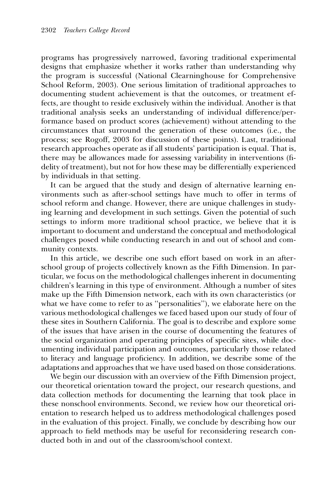programs has progressively narrowed, favoring traditional experimental designs that emphasize whether it works rather than understanding why the program is successful (National Clearninghouse for Comprehensive School Reform, 2003). One serious limitation of traditional approaches to documenting student achievement is that the outcomes, or treatment effects, are thought to reside exclusively within the individual. Another is that traditional analysis seeks an understanding of individual difference/performance based on product scores (achievement) without attending to the circumstances that surround the generation of these outcomes (i.e., the process; see Rogoff, 2003 for discussion of these points). Last, traditional research approaches operate as if all students' participation is equal. That is, there may be allowances made for assessing variability in interventions (fidelity of treatment), but not for how these may be differentially experienced by individuals in that setting.

It can be argued that the study and design of alternative learning environments such as after-school settings have much to offer in terms of school reform and change. However, there are unique challenges in studying learning and development in such settings. Given the potential of such settings to inform more traditional school practice, we believe that it is important to document and understand the conceptual and methodological challenges posed while conducting research in and out of school and community contexts.

In this article, we describe one such effort based on work in an afterschool group of projects collectively known as the Fifth Dimension. In particular, we focus on the methodological challenges inherent in documenting children's learning in this type of environment. Although a number of sites make up the Fifth Dimension network, each with its own characteristics (or what we have come to refer to as ''personalities''), we elaborate here on the various methodological challenges we faced based upon our study of four of these sites in Southern California. The goal is to describe and explore some of the issues that have arisen in the course of documenting the features of the social organization and operating principles of specific sites, while documenting individual participation and outcomes, particularly those related to literacy and language proficiency. In addition, we describe some of the adaptations and approaches that we have used based on those considerations.

We begin our discussion with an overview of the Fifth Dimension project, our theoretical orientation toward the project, our research questions, and data collection methods for documenting the learning that took place in these nonschool environments. Second, we review how our theoretical orientation to research helped us to address methodological challenges posed in the evaluation of this project. Finally, we conclude by describing how our approach to field methods may be useful for reconsidering research conducted both in and out of the classroom/school context.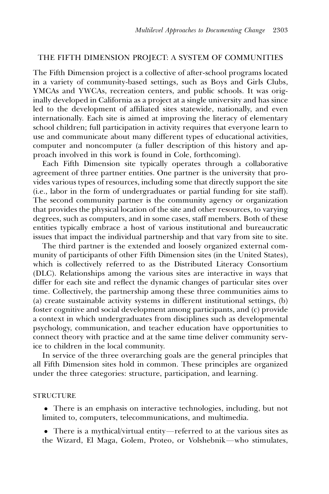# THE FIFTH DIMENSION PROJECT: A SYSTEM OF COMMUNITIES

The Fifth Dimension project is a collective of after-school programs located in a variety of community-based settings, such as Boys and Girls Clubs, YMCAs and YWCAs, recreation centers, and public schools. It was originally developed in California as a project at a single university and has since led to the development of affiliated sites statewide, nationally, and even internationally. Each site is aimed at improving the literacy of elementary school children; full participation in activity requires that everyone learn to use and communicate about many different types of educational activities, computer and noncomputer (a fuller description of this history and approach involved in this work is found in Cole, forthcoming).

Each Fifth Dimension site typically operates through a collaborative agreement of three partner entities. One partner is the university that provides various types of resources, including some that directly support the site (i.e., labor in the form of undergraduates or partial funding for site staff). The second community partner is the community agency or organization that provides the physical location of the site and other resources, to varying degrees, such as computers, and in some cases, staff members. Both of these entities typically embrace a host of various institutional and bureaucratic issues that impact the individual partnership and that vary from site to site.

The third partner is the extended and loosely organized external community of participants of other Fifth Dimension sites (in the United States), which is collectively referred to as the Distributed Literacy Consortium (DLC). Relationships among the various sites are interactive in ways that differ for each site and reflect the dynamic changes of particular sites over time. Collectively, the partnership among these three communities aims to (a) create sustainable activity systems in different institutional settings, (b) foster cognitive and social development among participants, and (c) provide a context in which undergraduates from disciplines such as developmental psychology, communication, and teacher education have opportunities to connect theory with practice and at the same time deliver community service to children in the local community.

In service of the three overarching goals are the general principles that all Fifth Dimension sites hold in common. These principles are organized under the three categories: structure, participation, and learning.

#### **STRUCTURE**

• There is an emphasis on interactive technologies, including, but not limited to, computers, telecommunications, and multimedia.

 $\bullet$  There is a mythical/virtual entity—referred to at the various sites as the Wizard, El Maga, Golem, Proteo, or Volshebnik—who stimulates,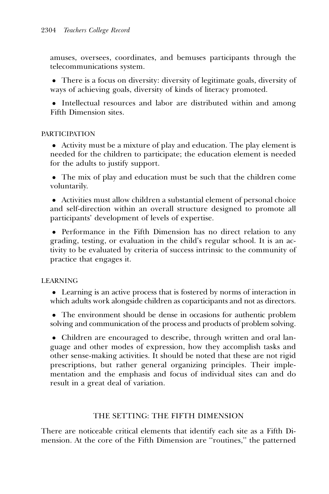amuses, oversees, coordinates, and bemuses participants through the telecommunications system.

• There is a focus on diversity: diversity of legitimate goals, diversity of ways of achieving goals, diversity of kinds of literacy promoted.

• Intellectual resources and labor are distributed within and among Fifth Dimension sites.

# **PARTICIPATION**

• Activity must be a mixture of play and education. The play element is needed for the children to participate; the education element is needed for the adults to justify support.

! The mix of play and education must be such that the children come voluntarily.

! Activities must allow children a substantial element of personal choice and self-direction within an overall structure designed to promote all participants' development of levels of expertise.

• Performance in the Fifth Dimension has no direct relation to any grading, testing, or evaluation in the child's regular school. It is an activity to be evaluated by criteria of success intrinsic to the community of practice that engages it.

# LEARNING

• Learning is an active process that is fostered by norms of interaction in which adults work alongside children as coparticipants and not as directors.

• The environment should be dense in occasions for authentic problem solving and communication of the process and products of problem solving.

• Children are encouraged to describe, through written and oral language and other modes of expression, how they accomplish tasks and other sense-making activities. It should be noted that these are not rigid prescriptions, but rather general organizing principles. Their implementation and the emphasis and focus of individual sites can and do result in a great deal of variation.

# THE SETTING: THE FIFTH DIMENSION

There are noticeable critical elements that identify each site as a Fifth Dimension. At the core of the Fifth Dimension are ''routines,'' the patterned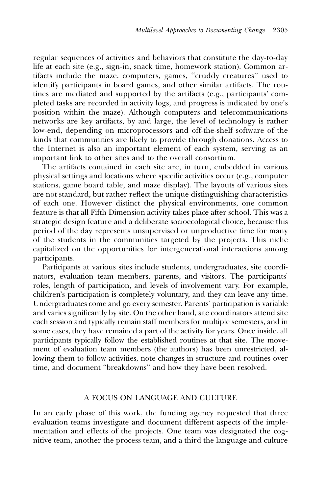regular sequences of activities and behaviors that constitute the day-to-day life at each site (e.g., sign-in, snack time, homework station). Common artifacts include the maze, computers, games, ''cruddy creatures'' used to identify participants in board games, and other similar artifacts. The routines are mediated and supported by the artifacts (e.g., participants' completed tasks are recorded in activity logs, and progress is indicated by one's position within the maze). Although computers and telecommunications networks are key artifacts, by and large, the level of technology is rather low-end, depending on microprocessors and off-the-shelf software of the kinds that communities are likely to provide through donations. Access to the Internet is also an important element of each system, serving as an important link to other sites and to the overall consortium.

The artifacts contained in each site are, in turn, embedded in various physical settings and locations where specific activities occur (e.g., computer stations, game board table, and maze display). The layouts of various sites are not standard, but rather reflect the unique distinguishing characteristics of each one. However distinct the physical environments, one common feature is that all Fifth Dimension activity takes place after school. This was a strategic design feature and a deliberate socioecological choice, because this period of the day represents unsupervised or unproductive time for many of the students in the communities targeted by the projects. This niche capitalized on the opportunities for intergenerational interactions among participants.

Participants at various sites include students, undergraduates, site coordinators, evaluation team members, parents, and visitors. The participants' roles, length of participation, and levels of involvement vary. For example, children's participation is completely voluntary, and they can leave any time. Undergraduates come and go every semester. Parents' participation is variable and varies significantly by site. On the other hand, site coordinators attend site each session and typically remain staff members for multiple semesters, and in some cases, they have remained a part of the activity for years. Once inside, all participants typically follow the established routines at that site. The movement of evaluation team members (the authors) has been unrestricted, allowing them to follow activities, note changes in structure and routines over time, and document ''breakdowns'' and how they have been resolved.

#### A FOCUS ON LANGUAGE AND CULTURE

In an early phase of this work, the funding agency requested that three evaluation teams investigate and document different aspects of the implementation and effects of the projects. One team was designated the cognitive team, another the process team, and a third the language and culture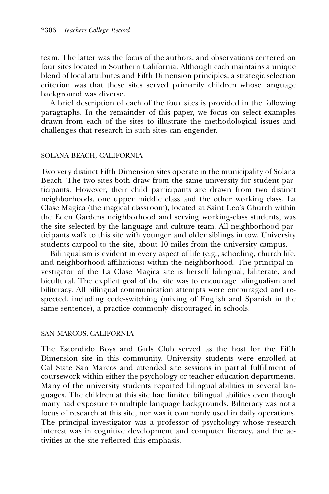team. The latter was the focus of the authors, and observations centered on four sites located in Southern California. Although each maintains a unique blend of local attributes and Fifth Dimension principles, a strategic selection criterion was that these sites served primarily children whose language background was diverse.

A brief description of each of the four sites is provided in the following paragraphs. In the remainder of this paper, we focus on select examples drawn from each of the sites to illustrate the methodological issues and challenges that research in such sites can engender.

#### SOLANA BEACH, CALIFORNIA

Two very distinct Fifth Dimension sites operate in the municipality of Solana Beach. The two sites both draw from the same university for student participants. However, their child participants are drawn from two distinct neighborhoods, one upper middle class and the other working class. La Clase Magica (the magical classroom), located at Saint Leo's Church within the Eden Gardens neighborhood and serving working-class students, was the site selected by the language and culture team. All neighborhood participants walk to this site with younger and older siblings in tow. University students carpool to the site, about 10 miles from the university campus.

Bilingualism is evident in every aspect of life (e.g., schooling, church life, and neighborhood affiliations) within the neighborhood. The principal investigator of the La Clase Magica site is herself bilingual, biliterate, and bicultural. The explicit goal of the site was to encourage bilingualism and biliteracy. All bilingual communication attempts were encouraged and respected, including code-switching (mixing of English and Spanish in the same sentence), a practice commonly discouraged in schools.

## SAN MARCOS, CALIFORNIA

The Escondido Boys and Girls Club served as the host for the Fifth Dimension site in this community. University students were enrolled at Cal State San Marcos and attended site sessions in partial fulfillment of coursework within either the psychology or teacher education departments. Many of the university students reported bilingual abilities in several languages. The children at this site had limited bilingual abilities even though many had exposure to multiple language backgrounds. Biliteracy was not a focus of research at this site, nor was it commonly used in daily operations. The principal investigator was a professor of psychology whose research interest was in cognitive development and computer literacy, and the activities at the site reflected this emphasis.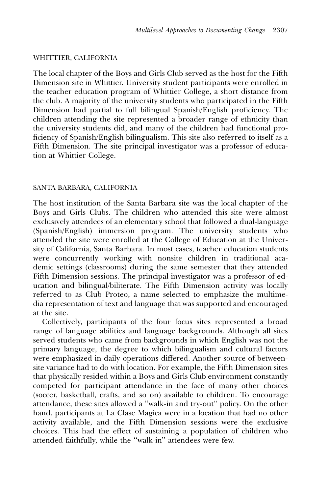#### WHITTIER, CALIFORNIA

The local chapter of the Boys and Girls Club served as the host for the Fifth Dimension site in Whittier. University student participants were enrolled in the teacher education program of Whittier College, a short distance from the club. A majority of the university students who participated in the Fifth Dimension had partial to full bilingual Spanish/English proficiency. The children attending the site represented a broader range of ethnicity than the university students did, and many of the children had functional proficiency of Spanish/English bilingualism. This site also referred to itself as a Fifth Dimension. The site principal investigator was a professor of education at Whittier College.

#### SANTA BARBARA, CALIFORNIA

The host institution of the Santa Barbara site was the local chapter of the Boys and Girls Clubs. The children who attended this site were almost exclusively attendees of an elementary school that followed a dual-language (Spanish/English) immersion program. The university students who attended the site were enrolled at the College of Education at the University of California, Santa Barbara. In most cases, teacher education students were concurrently working with nonsite children in traditional academic settings (classrooms) during the same semester that they attended Fifth Dimension sessions. The principal investigator was a professor of education and bilingual/biliterate. The Fifth Dimension activity was locally referred to as Club Proteo, a name selected to emphasize the multimedia representation of text and language that was supported and encouraged at the site.

Collectively, participants of the four focus sites represented a broad range of language abilities and language backgrounds. Although all sites served students who came from backgrounds in which English was not the primary language, the degree to which bilingualism and cultural factors were emphasized in daily operations differed. Another source of betweensite variance had to do with location. For example, the Fifth Dimension sites that physically resided within a Boys and Girls Club environment constantly competed for participant attendance in the face of many other choices (soccer, basketball, crafts, and so on) available to children. To encourage attendance, these sites allowed a ''walk-in and try-out'' policy. On the other hand, participants at La Clase Magica were in a location that had no other activity available, and the Fifth Dimension sessions were the exclusive choices. This had the effect of sustaining a population of children who attended faithfully, while the ''walk-in'' attendees were few.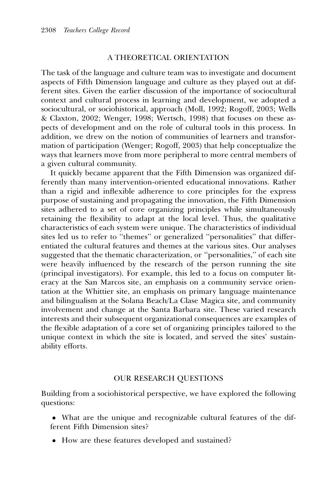## A THEORETICAL ORIENTATION

The task of the language and culture team was to investigate and document aspects of Fifth Dimension language and culture as they played out at different sites. Given the earlier discussion of the importance of sociocultural context and cultural process in learning and development, we adopted a sociocultural, or sociohistorical, approach (Moll, 1992; Rogoff, 2003; Wells & Claxton, 2002; Wenger, 1998; Wertsch, 1998) that focuses on these aspects of development and on the role of cultural tools in this process. In addition, we drew on the notion of communities of learners and transformation of participation (Wenger; Rogoff, 2003) that help conceptualize the ways that learners move from more peripheral to more central members of a given cultural community.

It quickly became apparent that the Fifth Dimension was organized differently than many intervention-oriented educational innovations. Rather than a rigid and inflexible adherence to core principles for the express purpose of sustaining and propagating the innovation, the Fifth Dimension sites adhered to a set of core organizing principles while simultaneously retaining the flexibility to adapt at the local level. Thus, the qualitative characteristics of each system were unique. The characteristics of individual sites led us to refer to ''themes'' or generalized ''personalities'' that differentiated the cultural features and themes at the various sites. Our analyses suggested that the thematic characterization, or ''personalities,'' of each site were heavily influenced by the research of the person running the site (principal investigators). For example, this led to a focus on computer literacy at the San Marcos site, an emphasis on a community service orientation at the Whittier site, an emphasis on primary language maintenance and bilingualism at the Solana Beach/La Clase Magica site, and community involvement and change at the Santa Barbara site. These varied research interests and their subsequent organizational consequences are examples of the flexible adaptation of a core set of organizing principles tailored to the unique context in which the site is located, and served the sites' sustainability efforts.

#### OUR RESEARCH QUESTIONS

Building from a sociohistorical perspective, we have explored the following questions:

- ! What are the unique and recognizable cultural features of the different Fifth Dimension sites?
- ! How are these features developed and sustained?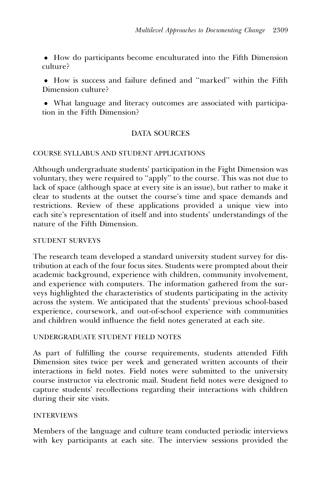! How do participants become enculturated into the Fifth Dimension culture?

! How is success and failure defined and ''marked'' within the Fifth Dimension culture?

! What language and literacy outcomes are associated with participation in the Fifth Dimension?

# DATA SOURCES

# COURSE SYLLABUS AND STUDENT APPLICATIONS

Although undergraduate students' participation in the Fight Dimension was voluntary, they were required to ''apply'' to the course. This was not due to lack of space (although space at every site is an issue), but rather to make it clear to students at the outset the course's time and space demands and restrictions. Review of these applications provided a unique view into each site's representation of itself and into students' understandings of the nature of the Fifth Dimension.

# STUDENT SURVEYS

The research team developed a standard university student survey for distribution at each of the four focus sites. Students were prompted about their academic background, experience with children, community involvement, and experience with computers. The information gathered from the surveys highlighted the characteristics of students participating in the activity across the system. We anticipated that the students' previous school-based experience, coursework, and out-of-school experience with communities and children would influence the field notes generated at each site.

# UNDERGRADUATE STUDENT FIELD NOTES

As part of fulfilling the course requirements, students attended Fifth Dimension sites twice per week and generated written accounts of their interactions in field notes. Field notes were submitted to the university course instructor via electronic mail. Student field notes were designed to capture students' recollections regarding their interactions with children during their site visits.

# INTERVIEWS

Members of the language and culture team conducted periodic interviews with key participants at each site. The interview sessions provided the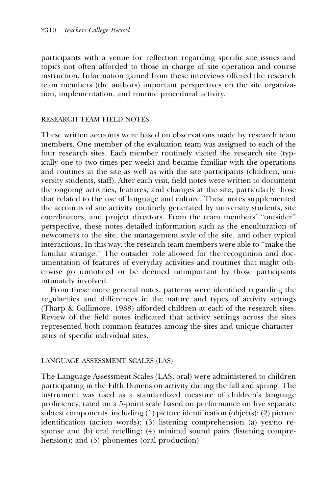participants with a venue for reflection regarding specific site issues and topics not often afforded to those in charge of site operation and course instruction. Information gained from these interviews offered the research team members (the authors) important perspectives on the site organization, implementation, and routine procedural activity.

## RESEARCH TEAM FIELD NOTES

These written accounts were based on observations made by research team members. One member of the evaluation team was assigned to each of the four research sites. Each member routinely visited the research site (typically one to two times per week) and became familiar with the operations and routines at the site as well as with the site participants (children, university students, staff). After each visit, field notes were written to document the ongoing activities, features, and changes at the site, particularly those that related to the use of language and culture. These notes supplemented the accounts of site activity routinely generated by university students, site coordinators, and project directors. From the team members' ''outsider'' perspective, these notes detailed information such as the enculturation of newcomers to the site, the management style of the site, and other typical interactions. In this way, the research team members were able to ''make the familiar strange.'' The outsider role allowed for the recognition and documentation of features of everyday activities and routines that might otherwise go unnoticed or be deemed unimportant by those participants intimately involved.

From these more general notes, patterns were identified regarding the regularities and differences in the nature and types of activity settings (Tharp & Gallimore, 1988) afforded children at each of the research sites. Review of the field notes indicated that activity settings across the sites represented both common features among the sites and unique characteristics of specific individual sites.

## LANGUAGE ASSESSMENT SCALES (LAS)

The Language Assessment Scales (LAS; oral) were administered to children participating in the Fifth Dimension activity during the fall and spring. The instrument was used as a standardized measure of children's language proficiency, rated on a 5-point scale based on performance on five separate subtest components, including (1) picture identification (objects); (2) picture identification (action words); (3) listening comprehension (a) yes/no response and (b) oral retelling; (4) minimal sound pairs (listening comprehension); and (5) phonemes (oral production).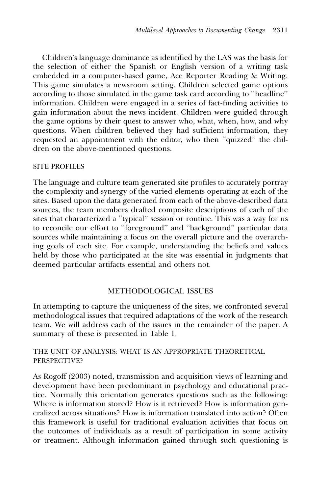Children's language dominance as identified by the LAS was the basis for the selection of either the Spanish or English version of a writing task embedded in a computer-based game, Ace Reporter Reading & Writing. This game simulates a newsroom setting. Children selected game options according to those simulated in the game task card according to ''headline'' information. Children were engaged in a series of fact-finding activities to gain information about the news incident. Children were guided through the game options by their quest to answer who, what, when, how, and why questions. When children believed they had sufficient information, they requested an appointment with the editor, who then ''quizzed'' the children on the above-mentioned questions.

# SITE PROFILES

The language and culture team generated site profiles to accurately portray the complexity and synergy of the varied elements operating at each of the sites. Based upon the data generated from each of the above-described data sources, the team members drafted composite descriptions of each of the sites that characterized a ''typical'' session or routine. This was a way for us to reconcile our effort to ''foreground'' and ''background'' particular data sources while maintaining a focus on the overall picture and the overarching goals of each site. For example, understanding the beliefs and values held by those who participated at the site was essential in judgments that deemed particular artifacts essential and others not.

# METHODOLOGICAL ISSUES

In attempting to capture the uniqueness of the sites, we confronted several methodological issues that required adaptations of the work of the research team. We will address each of the issues in the remainder of the paper. A summary of these is presented in Table 1.

# THE UNIT OF ANALYSIS: WHAT IS AN APPROPRIATE THEORETICAL PERSPECTIVE?

As Rogoff (2003) noted, transmission and acquisition views of learning and development have been predominant in psychology and educational practice. Normally this orientation generates questions such as the following: Where is information stored? How is it retrieved? How is information generalized across situations? How is information translated into action? Often this framework is useful for traditional evaluation activities that focus on the outcomes of individuals as a result of participation in some activity or treatment. Although information gained through such questioning is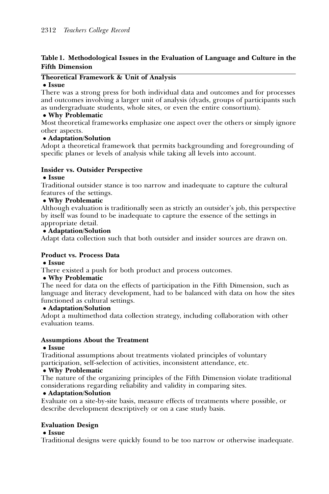# Table 1. Methodological Issues in the Evaluation of Language and Culture in the Fifth Dimension

## Theoretical Framework & Unit of Analysis

#### • Issue

There was a strong press for both individual data and outcomes and for processes and outcomes involving a larger unit of analysis (dyads, groups of participants such as undergraduate students, whole sites, or even the entire consortium).

## • Why Problematic

Most theoretical frameworks emphasize one aspect over the others or simply ignore other aspects.

## ! Adaptation/Solution

Adopt a theoretical framework that permits backgrounding and foregrounding of specific planes or levels of analysis while taking all levels into account.

## Insider vs. Outsider Perspective

## • Issue

Traditional outsider stance is too narrow and inadequate to capture the cultural features of the settings.

## • Why Problematic

Although evaluation is traditionally seen as strictly an outsider's job, this perspective by itself was found to be inadequate to capture the essence of the settings in appropriate detail.

## ! Adaptation/Solution

Adapt data collection such that both outsider and insider sources are drawn on.

## Product vs. Process Data

## ! Issue

There existed a push for both product and process outcomes.

## • Why Problematic

The need for data on the effects of participation in the Fifth Dimension, such as language and literacy development, had to be balanced with data on how the sites functioned as cultural settings.

## ! Adaptation/Solution

Adopt a multimethod data collection strategy, including collaboration with other evaluation teams.

## Assumptions About the Treatment

## • Issue

Traditional assumptions about treatments violated principles of voluntary participation, self-selection of activities, inconsistent attendance, etc.

## • Why Problematic

The nature of the organizing principles of the Fifth Dimension violate traditional considerations regarding reliability and validity in comparing sites.

## • Adaptation/Solution

Evaluate on a site-by-site basis, measure effects of treatments where possible, or describe development descriptively or on a case study basis.

# Evaluation Design

## • Issue

Traditional designs were quickly found to be too narrow or otherwise inadequate.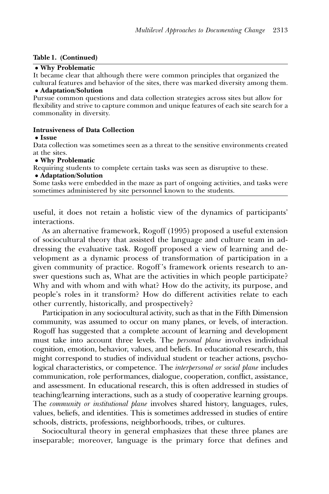#### Table 1. (Continued)

#### • Why Problematic

It became clear that although there were common principles that organized the cultural features and behavior of the sites, there was marked diversity among them.

#### • Adaptation/Solution

Pursue common questions and data collection strategies across sites but allow for flexibility and strive to capture common and unique features of each site search for a commonality in diversity.

#### Intrusiveness of Data Collection

#### • Issue

Data collection was sometimes seen as a threat to the sensitive environments created at the sites.

#### • Why Problematic

Requiring students to complete certain tasks was seen as disruptive to these.

## • Adaptation/Solution

Some tasks were embedded in the maze as part of ongoing activities, and tasks were sometimes administered by site personnel known to the students.

useful, it does not retain a holistic view of the dynamics of participants' interactions.

As an alternative framework, Rogoff (1995) proposed a useful extension of sociocultural theory that assisted the language and culture team in addressing the evaluative task. Rogoff proposed a view of learning and development as a dynamic process of transformation of participation in a given community of practice. Rogoff 's framework orients research to answer questions such as, What are the activities in which people participate? Why and with whom and with what? How do the activity, its purpose, and people's roles in it transform? How do different activities relate to each other currently, historically, and prospectively?

Participation in any sociocultural activity, such as that in the Fifth Dimension community, was assumed to occur on many planes, or levels, of interaction. Rogoff has suggested that a complete account of learning and development must take into account three levels. The *personal plane* involves individual cognition, emotion, behavior, values, and beliefs. In educational research, this might correspond to studies of individual student or teacher actions, psychological characteristics, or competence. The *interpersonal or social plane* includes communication, role performances, dialogue, cooperation, conflict, assistance, and assessment. In educational research, this is often addressed in studies of teaching/learning interactions, such as a study of cooperative learning groups. The *community or institutional plane* involves shared history, languages, rules, values, beliefs, and identities. This is sometimes addressed in studies of entire schools, districts, professions, neighborhoods, tribes, or cultures.

Sociocultural theory in general emphasizes that these three planes are inseparable; moreover, language is the primary force that defines and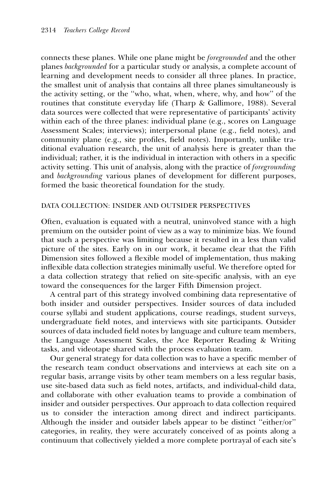connects these planes. While one plane might be foregrounded and the other planes backgrounded for a particular study or analysis, a complete account of learning and development needs to consider all three planes. In practice, the smallest unit of analysis that contains all three planes simultaneously is the activity setting, or the ''who, what, when, where, why, and how'' of the routines that constitute everyday life (Tharp & Gallimore, 1988). Several data sources were collected that were representative of participants' activity within each of the three planes: individual plane (e.g., scores on Language Assessment Scales; interviews); interpersonal plane (e.g., field notes), and community plane (e.g., site profiles, field notes). Importantly, unlike traditional evaluation research, the unit of analysis here is greater than the individual; rather, it is the individual in interaction with others in a specific activity setting. This unit of analysis, along with the practice of foregrounding and backgrounding various planes of development for different purposes, formed the basic theoretical foundation for the study.

## DATA COLLECTION: INSIDER AND OUTSIDER PERSPECTIVES

Often, evaluation is equated with a neutral, uninvolved stance with a high premium on the outsider point of view as a way to minimize bias. We found that such a perspective was limiting because it resulted in a less than valid picture of the sites. Early on in our work, it became clear that the Fifth Dimension sites followed a flexible model of implementation, thus making inflexible data collection strategies minimally useful. We therefore opted for a data collection strategy that relied on site-specific analysis, with an eye toward the consequences for the larger Fifth Dimension project.

A central part of this strategy involved combining data representative of both insider and outsider perspectives. Insider sources of data included course syllabi and student applications, course readings, student surveys, undergraduate field notes, and interviews with site participants. Outsider sources of data included field notes by language and culture team members, the Language Assessment Scales, the Ace Reporter Reading & Writing tasks, and videotape shared with the process evaluation team.

Our general strategy for data collection was to have a specific member of the research team conduct observations and interviews at each site on a regular basis, arrange visits by other team members on a less regular basis, use site-based data such as field notes, artifacts, and individual-child data, and collaborate with other evaluation teams to provide a combination of insider and outsider perspectives. Our approach to data collection required us to consider the interaction among direct and indirect participants. Although the insider and outsider labels appear to be distinct ''either/or'' categories, in reality, they were accurately conceived of as points along a continuum that collectively yielded a more complete portrayal of each site's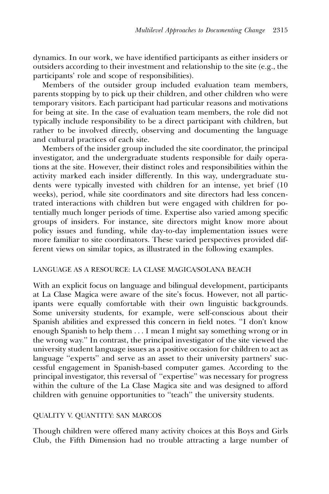dynamics. In our work, we have identified participants as either insiders or outsiders according to their investment and relationship to the site (e.g., the participants' role and scope of responsibilities).

Members of the outsider group included evaluation team members, parents stopping by to pick up their children, and other children who were temporary visitors. Each participant had particular reasons and motivations for being at site. In the case of evaluation team members, the role did not typically include responsibility to be a direct participant with children, but rather to be involved directly, observing and documenting the language and cultural practices of each site.

Members of the insider group included the site coordinator, the principal investigator, and the undergraduate students responsible for daily operations at the site. However, their distinct roles and responsibilities within the activity marked each insider differently. In this way, undergraduate students were typically invested with children for an intense, yet brief (10 weeks), period, while site coordinators and site directors had less concentrated interactions with children but were engaged with children for potentially much longer periods of time. Expertise also varied among specific groups of insiders. For instance, site directors might know more about policy issues and funding, while day-to-day implementation issues were more familiar to site coordinators. These varied perspectives provided different views on similar topics, as illustrated in the following examples.

## LANGUAGE AS A RESOURCE: LA CLASE MAGICA/SOLANA BEACH

With an explicit focus on language and bilingual development, participants at La Clase Magica were aware of the site's focus. However, not all participants were equally comfortable with their own linguistic backgrounds. Some university students, for example, were self-conscious about their Spanish abilities and expressed this concern in field notes. ''I don't know enough Spanish to help them . . . I mean I might say something wrong or in the wrong way.'' In contrast, the principal investigator of the site viewed the university student language issues as a positive occasion for children to act as language ''experts'' and serve as an asset to their university partners' successful engagement in Spanish-based computer games. According to the principal investigator, this reversal of ''expertise'' was necessary for progress within the culture of the La Clase Magica site and was designed to afford children with genuine opportunities to ''teach'' the university students.

## QUALITY V. QUANTITY: SAN MARCOS

Though children were offered many activity choices at this Boys and Girls Club, the Fifth Dimension had no trouble attracting a large number of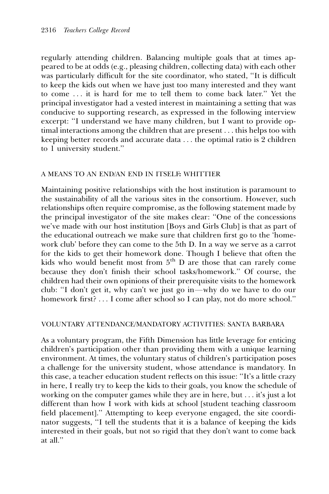regularly attending children. Balancing multiple goals that at times appeared to be at odds (e.g., pleasing children, collecting data) with each other was particularly difficult for the site coordinator, who stated, ''It is difficult to keep the kids out when we have just too many interested and they want to come . . . it is hard for me to tell them to come back later.'' Yet the principal investigator had a vested interest in maintaining a setting that was conducive to supporting research, as expressed in the following interview excerpt: ''I understand we have many children, but I want to provide optimal interactions among the children that are present . . . this helps too with keeping better records and accurate data . . . the optimal ratio is 2 children to 1 university student.''

# A MEANS TO AN END/AN END IN ITSELF: WHITTIER

Maintaining positive relationships with the host institution is paramount to the sustainability of all the various sites in the consortium. However, such relationships often require compromise, as the following statement made by the principal investigator of the site makes clear: ''One of the concessions we've made with our host institution [Boys and Girls Club] is that as part of the educational outreach we make sure that children first go to the 'homework club' before they can come to the 5th D. In a way we serve as a carrot for the kids to get their homework done. Though I believe that often the kids who would benefit most from 5<sup>th</sup> D are those that can rarely come because they don't finish their school tasks/homework.'' Of course, the children had their own opinions of their prerequisite visits to the homework club: "I don't get it, why can't we just go in—why do we have to do our homework first? . . . I come after school so I can play, not do more school."

# VOLUNTARY ATTENDANCE/MANDATORY ACTIVITIES: SANTA BARBARA

As a voluntary program, the Fifth Dimension has little leverage for enticing children's participation other than providing them with a unique learning environment. At times, the voluntary status of children's participation poses a challenge for the university student, whose attendance is mandatory. In this case, a teacher education student reflects on this issue: ''It's a little crazy in here, I really try to keep the kids to their goals, you know the schedule of working on the computer games while they are in here, but . . . it's just a lot different than how I work with kids at school [student teaching classroom field placement].'' Attempting to keep everyone engaged, the site coordinator suggests, ''I tell the students that it is a balance of keeping the kids interested in their goals, but not so rigid that they don't want to come back at all.''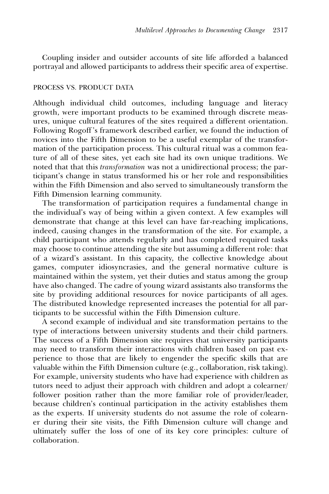Coupling insider and outsider accounts of site life afforded a balanced portrayal and allowed participants to address their specific area of expertise.

## PROCESS VS. PRODUCT DATA

Although individual child outcomes, including language and literacy growth, were important products to be examined through discrete measures, unique cultural features of the sites required a different orientation. Following Rogoff 's framework described earlier, we found the induction of novices into the Fifth Dimension to be a useful exemplar of the transformation of the participation process. This cultural ritual was a common feature of all of these sites, yet each site had its own unique traditions. We noted that that this *transformation* was not a unidirectional process; the participant's change in status transformed his or her role and responsibilities within the Fifth Dimension and also served to simultaneously transform the Fifth Dimension learning community.

The transformation of participation requires a fundamental change in the individual's way of being within a given context. A few examples will demonstrate that change at this level can have far-reaching implications, indeed, causing changes in the transformation of the site. For example, a child participant who attends regularly and has completed required tasks may choose to continue attending the site but assuming a different role: that of a wizard's assistant. In this capacity, the collective knowledge about games, computer idiosyncrasies, and the general normative culture is maintained within the system, yet their duties and status among the group have also changed. The cadre of young wizard assistants also transforms the site by providing additional resources for novice participants of all ages. The distributed knowledge represented increases the potential for all participants to be successful within the Fifth Dimension culture.

A second example of individual and site transformation pertains to the type of interactions between university students and their child partners. The success of a Fifth Dimension site requires that university participants may need to transform their interactions with children based on past experience to those that are likely to engender the specific skills that are valuable within the Fifth Dimension culture (e.g., collaboration, risk taking). For example, university students who have had experience with children as tutors need to adjust their approach with children and adopt a colearner/ follower position rather than the more familiar role of provider/leader, because children's continual participation in the activity establishes them as the experts. If university students do not assume the role of colearner during their site visits, the Fifth Dimension culture will change and ultimately suffer the loss of one of its key core principles: culture of collaboration.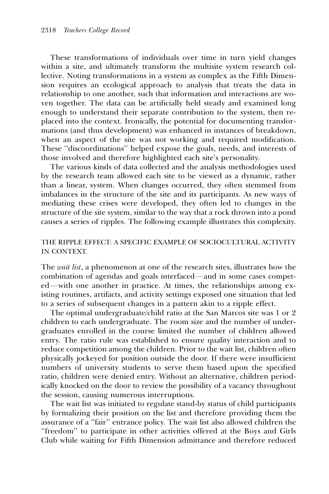These transformations of individuals over time in turn yield changes within a site, and ultimately transform the multisite system research collective. Noting transformations in a system as complex as the Fifth Dimension requires an ecological approach to analysis that treats the data in relationship to one another, such that information and interactions are woven together. The data can be artificially held steady and examined long enough to understand their separate contribution to the system, then replaced into the context. Ironically, the potential for documenting transformations (and thus development) was enhanced in instances of breakdown, when an aspect of the site was not working and required modification. These ''discoordinations'' helped expose the goals, needs, and interests of those involved and therefore highlighted each site's personality.

The various kinds of data collected and the analysis methodologies used by the research team allowed each site to be viewed as a dynamic, rather than a linear, system. When changes occurred, they often stemmed from imbalances in the structure of the site and its participants. As new ways of mediating these crises were developed, they often led to changes in the structure of the site system, similar to the way that a rock thrown into a pond causes a series of ripples. The following example illustrates this complexity.

## THE RIPPLE EFFECT: A SPECIFIC EXAMPLE OF SOCIOCULTURAL ACTIVITY IN CONTEXT.

The *wait list*, a phenomenon at one of the research sites, illustrates how the combination of agendas and goals interfaced—and in some cases competed—with one another in practice. At times, the relationships among existing routines, artifacts, and activity settings exposed one situation that led to a series of subsequent changes in a pattern akin to a ripple effect.

The optimal undergraduate/child ratio at the San Marcos site was 1 or 2 children to each undergraduate. The room size and the number of undergraduates enrolled in the course limited the number of children allowed entry. The ratio rule was established to ensure quality interaction and to reduce competition among the children. Prior to the wait list, children often physically jockeyed for position outside the door. If there were insufficient numbers of university students to serve them based upon the specified ratio, children were denied entry. Without an alternative, children periodically knocked on the door to review the possibility of a vacancy throughout the session, causing numerous interruptions.

The wait list was initiated to regulate stand-by status of child participants by formalizing their position on the list and therefore providing them the assurance of a ''fair'' entrance policy. The wait list also allowed children the ''freedom'' to participate in other activities offered at the Boys and Girls Club while waiting for Fifth Dimension admittance and therefore reduced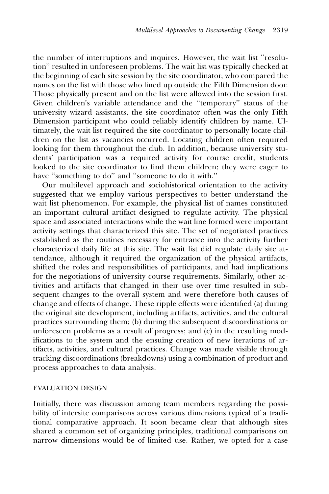the number of interruptions and inquires. However, the wait list ''resolution'' resulted in unforeseen problems. The wait list was typically checked at the beginning of each site session by the site coordinator, who compared the names on the list with those who lined up outside the Fifth Dimension door. Those physically present and on the list were allowed into the session first. Given children's variable attendance and the ''temporary'' status of the university wizard assistants, the site coordinator often was the only Fifth Dimension participant who could reliably identify children by name. Ultimately, the wait list required the site coordinator to personally locate children on the list as vacancies occurred. Locating children often required looking for them throughout the club. In addition, because university students' participation was a required activity for course credit, students looked to the site coordinator to find them children; they were eager to have "something to do" and "someone to do it with."

Our multilevel approach and sociohistorical orientation to the activity suggested that we employ various perspectives to better understand the wait list phenomenon. For example, the physical list of names constituted an important cultural artifact designed to regulate activity. The physical space and associated interactions while the wait line formed were important activity settings that characterized this site. The set of negotiated practices established as the routines necessary for entrance into the activity further characterized daily life at this site. The wait list did regulate daily site attendance, although it required the organization of the physical artifacts, shifted the roles and responsibilities of participants, and had implications for the negotiations of university course requirements. Similarly, other activities and artifacts that changed in their use over time resulted in subsequent changes to the overall system and were therefore both causes of change and effects of change. These ripple effects were identified (a) during the original site development, including artifacts, activities, and the cultural practices surrounding them; (b) during the subsequent discoordinations or unforeseen problems as a result of progress; and  $(c)$  in the resulting modifications to the system and the ensuing creation of new iterations of artifacts, activities, and cultural practices. Change was made visible through tracking discoordinations (breakdowns) using a combination of product and process approaches to data analysis.

#### EVALUATION DESIGN

Initially, there was discussion among team members regarding the possibility of intersite comparisons across various dimensions typical of a traditional comparative approach. It soon became clear that although sites shared a common set of organizing principles, traditional comparisons on narrow dimensions would be of limited use. Rather, we opted for a case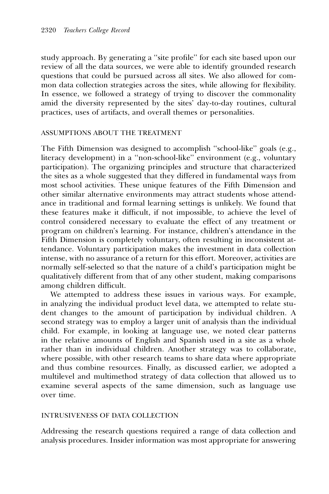study approach. By generating a ''site profile'' for each site based upon our review of all the data sources, we were able to identify grounded research questions that could be pursued across all sites. We also allowed for common data collection strategies across the sites, while allowing for flexibility. In essence, we followed a strategy of trying to discover the commonality amid the diversity represented by the sites' day-to-day routines, cultural practices, uses of artifacts, and overall themes or personalities.

## ASSUMPTIONS ABOUT THE TREATMENT

The Fifth Dimension was designed to accomplish ''school-like'' goals (e.g., literacy development) in a ''non-school-like'' environment (e.g., voluntary participation). The organizing principles and structure that characterized the sites as a whole suggested that they differed in fundamental ways from most school activities. These unique features of the Fifth Dimension and other similar alternative environments may attract students whose attendance in traditional and formal learning settings is unlikely. We found that these features make it difficult, if not impossible, to achieve the level of control considered necessary to evaluate the effect of any treatment or program on children's learning. For instance, children's attendance in the Fifth Dimension is completely voluntary, often resulting in inconsistent attendance. Voluntary participation makes the investment in data collection intense, with no assurance of a return for this effort. Moreover, activities are normally self-selected so that the nature of a child's participation might be qualitatively different from that of any other student, making comparisons among children difficult.

We attempted to address these issues in various ways. For example, in analyzing the individual product level data, we attempted to relate student changes to the amount of participation by individual children. A second strategy was to employ a larger unit of analysis than the individual child. For example, in looking at language use, we noted clear patterns in the relative amounts of English and Spanish used in a site as a whole rather than in individual children. Another strategy was to collaborate, where possible, with other research teams to share data where appropriate and thus combine resources. Finally, as discussed earlier, we adopted a multilevel and multimethod strategy of data collection that allowed us to examine several aspects of the same dimension, such as language use over time.

## INTRUSIVENESS OF DATA COLLECTION

Addressing the research questions required a range of data collection and analysis procedures. Insider information was most appropriate for answering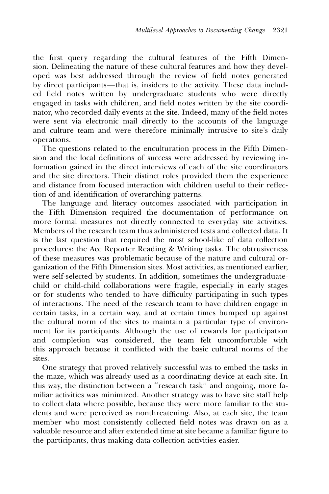the first query regarding the cultural features of the Fifth Dimension. Delineating the nature of these cultural features and how they developed was best addressed through the review of field notes generated by direct participants—that is, insiders to the activity. These data included field notes written by undergraduate students who were directly engaged in tasks with children, and field notes written by the site coordinator, who recorded daily events at the site. Indeed, many of the field notes were sent via electronic mail directly to the accounts of the language and culture team and were therefore minimally intrusive to site's daily operations.

The questions related to the enculturation process in the Fifth Dimension and the local definitions of success were addressed by reviewing information gained in the direct interviews of each of the site coordinators and the site directors. Their distinct roles provided them the experience and distance from focused interaction with children useful to their reflection of and identification of overarching patterns.

The language and literacy outcomes associated with participation in the Fifth Dimension required the documentation of performance on more formal measures not directly connected to everyday site activities. Members of the research team thus administered tests and collected data. It is the last question that required the most school-like of data collection procedures: the Ace Reporter Reading & Writing tasks. The obtrusiveness of these measures was problematic because of the nature and cultural organization of the Fifth Dimension sites. Most activities, as mentioned earlier, were self-selected by students. In addition, sometimes the undergraduatechild or child-child collaborations were fragile, especially in early stages or for students who tended to have difficulty participating in such types of interactions. The need of the research team to have children engage in certain tasks, in a certain way, and at certain times bumped up against the cultural norm of the sites to maintain a particular type of environment for its participants. Although the use of rewards for participation and completion was considered, the team felt uncomfortable with this approach because it conflicted with the basic cultural norms of the sites.

One strategy that proved relatively successful was to embed the tasks in the maze, which was already used as a coordinating device at each site. In this way, the distinction between a ''research task'' and ongoing, more familiar activities was minimized. Another strategy was to have site staff help to collect data where possible, because they were more familiar to the students and were perceived as nonthreatening. Also, at each site, the team member who most consistently collected field notes was drawn on as a valuable resource and after extended time at site became a familiar figure to the participants, thus making data-collection activities easier.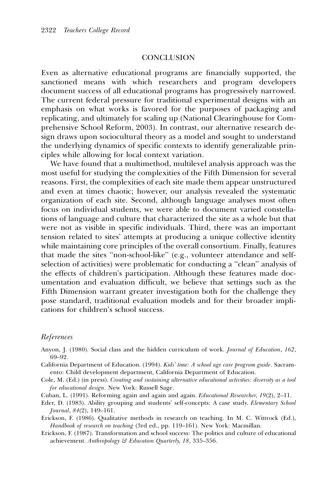## **CONCLUSION**

Even as alternative educational programs are financially supported, the sanctioned means with which researchers and program developers document success of all educational programs has progressively narrowed. The current federal pressure for traditional experimental designs with an emphasis on what works is favored for the purposes of packaging and replicating, and ultimately for scaling up (National Clearinghouse for Comprehensive School Reform, 2003). In contrast, our alternative research design draws upon sociocultural theory as a model and sought to understand the underlying dynamics of specific contexts to identify generalizable principles while allowing for local context variation.

We have found that a multimethod, multilevel analysis approach was the most useful for studying the complexities of the Fifth Dimension for several reasons. First, the complexities of each site made them appear unstructured and even at times chaotic; however, our analysis revealed the systematic organization of each site. Second, although language analyses most often focus on individual students, we were able to document varied constellations of language and culture that characterized the site as a whole but that were not as visible in specific individuals. Third, there was an important tension related to sites' attempts at producing a unique collective identity while maintaining core principles of the overall consortium. Finally, features that made the sites ''non-school-like'' (e.g., volunteer attendance and selfselection of activities) were problematic for conducting a ''clean'' analysis of the effects of children's participation. Although these features made documentation and evaluation difficult, we believe that settings such as the Fifth Dimension warrant greater investigation both for the challenge they pose standard, traditional evaluation models and for their broader implications for children's school success.

#### References

- Anyon, J. (1980). Social class and the hidden curriculum of work. Journal of Education, 162, 69–92.
- California Department of Education. (1994). Kids' time: A school age care program guide. Sacramento: Child development department, California Department of Education.
- Cole, M. (Ed.) (in press). Creating and sustaining alternative educational activities: diversity as a tool for educational design. New York: Russell Sage.
- Cuban, L. (1991). Reforming again and again and again. Educational Researcher, 19(2), 2–11.
- Eder, D. (1983). Ability grouping and students' self-concepts: A case study. Elementary School Journal, 84(2), 149–161.
- Erickson, F. (1986). Qualitative methods in research on teaching. In M. C. Wittrock (Ed.), Handbook of research on teaching (3rd ed., pp. 119–161). New York: Macmillan.
- Erickson, F. (1987). Transformation and school success: The politics and culture of educational achievement. Anthropology & Education Quarterly, 18, 335–356.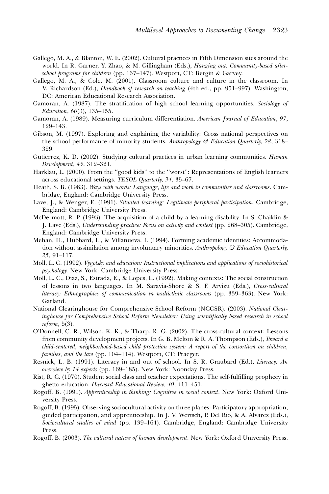- Gallego, M. A., & Blanton, W. E. (2002). Cultural practices in Fifth Dimension sites around the world. In R. Garner, Y. Zhao, & M. Gillingham (Eds.), Hanging out: Community-based afterschool programs for children (pp. 137–147). Westport, CT: Bergin & Garvey.
- Gallego, M. A., & Cole, M. (2001). Classroom culture and culture in the classroom. In V. Richardson (Ed.), Handbook of research on teaching (4th ed., pp. 951–997). Washington, DC: American Educational Research Association.
- Gamoran, A. (1987). The stratification of high school learning opportunities. Sociology of Education, 60(3), 135–155.
- Gamoran, A. (1989). Measuring curriculum differentiation. American Journal of Education, 97, 129–143.
- Gibson, M. (1997). Exploring and explaining the variability: Cross national perspectives on the school performance of minority students. Anthropology & Education Quarterly, 28, 318– 329.
- Gutierrez, K. D. (2002). Studying cultural practices in urban learning communities. Human Development, 45, 312–321.
- Harklau, L. (2000). From the ''good kids'' to the ''worst'': Representations of English learners across educational settings. TESOL Quarterly, 34, 35–67.
- Heath, S. B. (1983). Ways with words: Language, life and work in communities and classrooms. Cambridge, England: Cambridge University Press.
- Lave, J., & Wenger, E. (1991). Situated learning: Legitimate peripheral participation. Cambridge, England: Cambridge University Press.
- McDermott, R. P. (1993). The acquisition of a child by a learning disability. In S. Chaiklin & J. Lave (Eds.), Understanding practice: Focus on activity and context (pp. 268–305). Cambridge, England: Cambridge University Press.
- Mehan, H., Hubbard, L., & Villanueva, I. (1994). Forming academic identities: Accommodation without assimilation among involuntary minorities. Anthropology  $\mathcal G$  Education Quarterly, 25, 91–117.
- Moll, L. C. (1992). Vygotsky and education: Instructional implications and applications of sociohistorical psychology. New York: Cambridge University Press.
- Moll, L. C., Diaz, S., Estrada, E., & Lopes, L. (1992). Making contexts: The social construction of lessons in two languages. In M. Saravia-Shore & S. F. Arvizu (Eds.), Cross-cultural literacy: Ethnographies of communication in multiethnic classrooms (pp. 339–363). New York: Garland.
- National Clearinghouse for Comprehensive School Reform (NCCSR). (2003). National Clearinghouse for Comprehensive School Reform Newsletter: Using scientifically based research in school reform, 5(3).
- O'Donnell, C. R., Wilson, K. K., & Tharp, R. G. (2002). The cross-cultural context: Lessons from community development projects. In G. B. Melton & R. A. Thompson (Eds.), Toward a child-centered, neighborhood-based child protection system: A report of the consortium on children, families, and the law (pp. 104–114). Westport, CT: Praeger.
- Resnick, L. B. (1991). Literacy in and out of school. In S. R. Graubard (Ed.), Literacy: An overview by 14 experts (pp. 169–185). New York: Noonday Press.
- Rist, R. C. (1970). Student social class and teacher expectations. The self-fulfilling prophecy in ghetto education. Harvard Educational Review, 40, 411–451.
- Rogoff, B. (1991). Apprenticeship in thinking: Cognitive in social context. New York: Oxford University Press.
- Rogoff, B. (1995). Observing sociocultural activity on three planes: Participatory appropriation, guided participation, and apprenticeship. In J. V. Wertsch, P. Del Rio, & A. Alvarez (Eds.), Sociocultural studies of mind (pp. 139–164). Cambridge, England: Cambridge University Press.
- Rogoff, B. (2003). The cultural nature of human development. New York: Oxford University Press.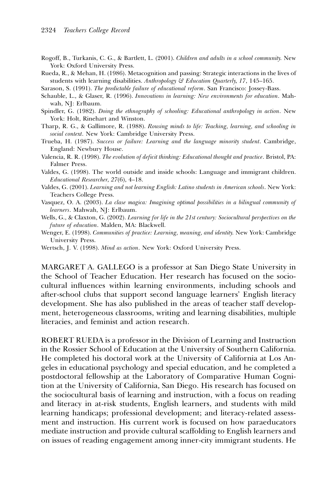- Rogoff, B., Turkanis, C. G., & Bartlett, L. (2001). Children and adults in a school community. New York: Oxford University Press.
- Rueda, R., & Mehan, H. (1986). Metacognition and passing: Strategic interactions in the lives of students with learning disabilities. Anthropology & Education Quarterly, 17, 145-165.

Sarason, S. (1991). The predictable failure of educational reform. San Francisco: Jossey-Bass.

- Schauble, L., & Glaser, R. (1996). Innovations in learning: New environments for education. Mahwah, NJ: Erlbaum.
- Spindler, G. (1982). Doing the ethnography of schooling: Educational anthropology in action. New York: Holt, Rinehart and Winston.
- Tharp, R. G., & Gallimore, R. (1988). Rousing minds to life: Teaching, learning, and schooling in social context. New York: Cambridge University Press.
- Trueba, H. (1987). Success or failure: Learning and the language minority student. Cambridge, England: Newbury House.
- Valencia, R. R. (1998). The evolution of deficit thinking: Educational thought and practice. Bristol, PA: Falmer Press.
- Valdes, G. (1998). The world outside and inside schools: Language and immigrant children. Educational Researcher, 27(6), 4–18.
- Valdes, G. (2001). Learning and not learning English: Latino students in American schools. New York: Teachers College Press.
- Vasquez, O. A. (2003). La clase magica: Imagining optimal possibilities in a bilingual community of learners. Mahwah, NJ: Erlbaum.
- Wells, G., & Claxton, G. (2002). Learning for life in the 21st century: Sociocultural perspectives on the future of education. Malden, MA: Blackwell.
- Wenger, E. (1998). Communities of practice: Learning, meaning, and identity. New York: Cambridge University Press.
- Wertsch, J. V. (1998). Mind as action. New York: Oxford University Press.

MARGARET A. GALLEGO is a professor at San Diego State University in the School of Teacher Education. Her research has focused on the sociocultural influences within learning environments, including schools and after-school clubs that support second language learners' English literacy development. She has also published in the areas of teacher staff development, heterogeneous classrooms, writing and learning disabilities, multiple literacies, and feminist and action research.

ROBERT RUEDA is a professor in the Division of Learning and Instruction in the Rossier School of Education at the University of Southern California. He completed his doctoral work at the University of California at Los Angeles in educational psychology and special education, and he completed a postdoctoral fellowship at the Laboratory of Comparative Human Cognition at the University of California, San Diego. His research has focused on the sociocultural basis of learning and instruction, with a focus on reading and literacy in at-risk students, English learners, and students with mild learning handicaps; professional development; and literacy-related assessment and instruction. His current work is focused on how paraeducators mediate instruction and provide cultural scaffolding to English learners and on issues of reading engagement among inner-city immigrant students. He